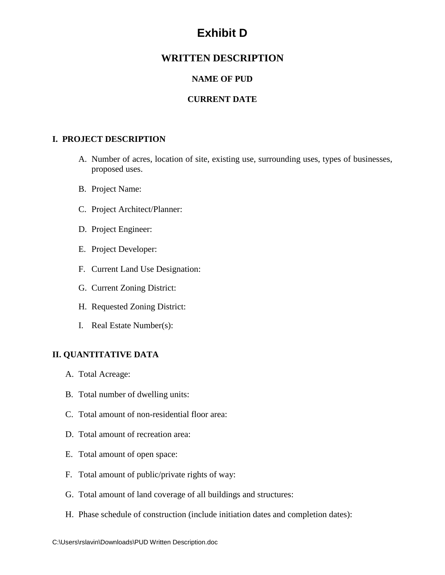# **Exhibit D**

## **WRITTEN DESCRIPTION**

## **NAME OF PUD**

## **CURRENT DATE**

#### **I. PROJECT DESCRIPTION**

- A. Number of acres, location of site, existing use, surrounding uses, types of businesses, proposed uses.
- B. Project Name:
- C. Project Architect/Planner:
- D. Project Engineer:
- E. Project Developer:
- F. Current Land Use Designation:
- G. Current Zoning District:
- H. Requested Zoning District:
- I. Real Estate Number(s):

#### **II. QUANTITATIVE DATA**

- A. Total Acreage:
- B. Total number of dwelling units:
- C. Total amount of non-residential floor area:
- D. Total amount of recreation area:
- E. Total amount of open space:
- F. Total amount of public/private rights of way:
- G. Total amount of land coverage of all buildings and structures:
- H. Phase schedule of construction (include initiation dates and completion dates):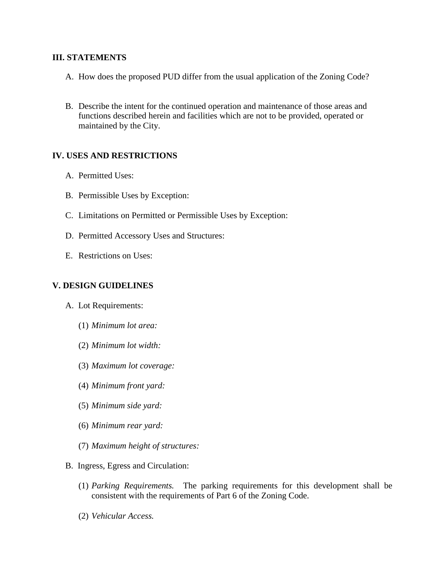#### **III. STATEMENTS**

- A. How does the proposed PUD differ from the usual application of the Zoning Code?
- B. Describe the intent for the continued operation and maintenance of those areas and functions described herein and facilities which are not to be provided, operated or maintained by the City.

#### **IV. USES AND RESTRICTIONS**

- A. Permitted Uses:
- B. Permissible Uses by Exception:
- C. Limitations on Permitted or Permissible Uses by Exception:
- D. Permitted Accessory Uses and Structures:
- E. Restrictions on Uses:

### **V. DESIGN GUIDELINES**

- A. Lot Requirements:
	- (1) *Minimum lot area:*
	- (2) *Minimum lot width:*
	- (3) *Maximum lot coverage:*
	- (4) *Minimum front yard:*
	- (5) *Minimum side yard:*
	- (6) *Minimum rear yard:*
	- (7) *Maximum height of structures:*
- B. Ingress, Egress and Circulation:
	- (1) *Parking Requirements.* The parking requirements for this development shall be consistent with the requirements of Part 6 of the Zoning Code.
	- (2) *Vehicular Access.*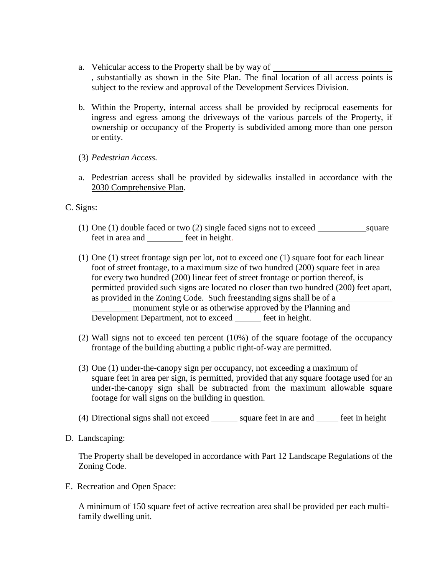- a. Vehicular access to the Property shall be by way of , substantially as shown in the Site Plan. The final location of all access points is subject to the review and approval of the Development Services Division.
- b. Within the Property, internal access shall be provided by reciprocal easements for ingress and egress among the driveways of the various parcels of the Property, if ownership or occupancy of the Property is subdivided among more than one person or entity.
- (3) *Pedestrian Access.*
- a. Pedestrian access shall be provided by sidewalks installed in accordance with the 2030 Comprehensive Plan.

#### C. Signs:

- (1) One (1) double faced or two (2) single faced signs not to exceed square feet in area and feet in height.
- (1) One (1) street frontage sign per lot, not to exceed one (1) square foot for each linear foot of street frontage, to a maximum size of two hundred (200) square feet in area for every two hundred (200) linear feet of street frontage or portion thereof, is permitted provided such signs are located no closer than two hundred (200) feet apart, as provided in the Zoning Code. Such freestanding signs shall be of a monument style or as otherwise approved by the Planning and Development Department, not to exceed <u>feet in height</u>.
- (2) Wall signs not to exceed ten percent (10%) of the square footage of the occupancy frontage of the building abutting a public right-of-way are permitted.
- (3) One (1) under-the-canopy sign per occupancy, not exceeding a maximum of square feet in area per sign, is permitted, provided that any square footage used for an under-the-canopy sign shall be subtracted from the maximum allowable square footage for wall signs on the building in question.
- (4) Directional signs shall not exceed square feet in are and  $f$  feet in height
- D. Landscaping:

The Property shall be developed in accordance with Part 12 Landscape Regulations of the Zoning Code.

E. Recreation and Open Space:

A minimum of 150 square feet of active recreation area shall be provided per each multifamily dwelling unit.